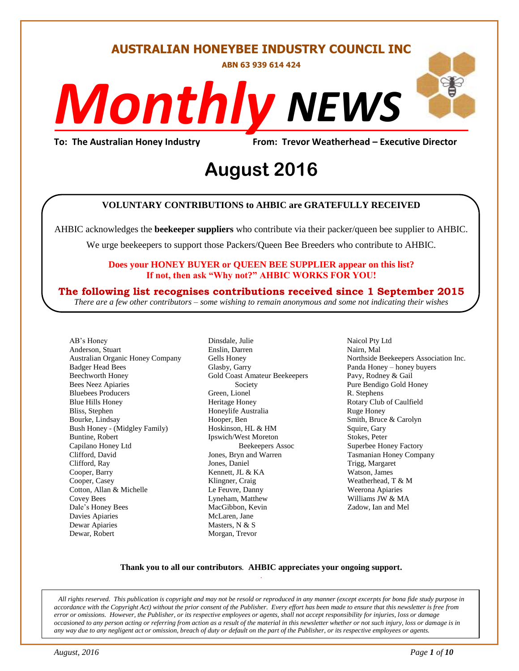#### **AUSTRALIAN HONEYBEE INDUSTRY COUNCIL INC**

**ABN 63 939 614 424**

# *NEWS Monthly*

**To: The Australian Honey Industry From: Trevor Weatherhead – Executive Director**

## *DS* **August 2016**

#### **VOLUNTARY CONTRIBUTIONS to AHBIC are GRATEFULLY RECEIVED**

AHBIC acknowledges the **beekeeper suppliers** who contribute via their packer/queen bee supplier to AHBIC.

We urge beekeepers to support those Packers/Queen Bee Breeders who contribute to AHBIC.

#### **Does your HONEY BUYER or QUEEN BEE SUPPLIER appear on this list? If not, then ask "Why not?" AHBIC WORKS FOR YOU!**

#### **The following list recognises contributions received since 1 September 2015**

*There are a few other contributors – some wishing to remain anonymous and some not indicating their wishes*

AB's Honey Anderson, Stuart Australian Organic Honey Company Badger Head Bees Beechworth Honey Bees Neez Apiaries Bluebees Producers Blue Hills Honey Bliss, Stephen Bourke, Lindsay Bush Honey - (Midgley Family) Buntine, Robert Capilano Honey Ltd Clifford, David Clifford, Ray Cooper, Barry Cooper, Casey Cotton, Allan & Michelle Covey Bees Dale's Honey Bees Davies Apiaries Dewar Apiaries Dewar, Robert

Dinsdale, Julie Enslin, Darren Gells Honey Glasby, Garry Gold Coast Amateur Beekeepers Society Green, Lionel Heritage Honey Honeylife Australia Hooper, Ben Hoskinson, HL & HM Ipswich/West Moreton Beekeepers Assoc Jones, Bryn and Warren Jones, Daniel Kennett, JL & KA Klingner, Craig Le Feuvre, Danny Lyneham, Matthew MacGibbon, Kevin McLaren, Jane Masters, N & S Morgan, Trevor

Naicol Pty Ltd Nairn, Mal Northside Beekeepers Association Inc. Panda Honey – honey buyers Pavy, Rodney & Gail Pure Bendigo Gold Honey R. Stephens Rotary Club of Caulfield Ruge Honey Smith, Bruce & Carolyn Squire, Gary Stokes, Peter Superbee Honey Factory Tasmanian Honey Company Trigg, Margaret Watson, James Weatherhead, T & M Weerona Apiaries Williams JW & MA Zadow, Ian and Mel

#### **Thank you to all our contributors***.* **AHBIC appreciates your ongoing support.** .

*All rights reserved. This publication is copyright and may not be resold or reproduced in any manner (except excerpts for bona fide study purpose in accordance with the Copyright Act) without the prior consent of the Publisher. Every effort has been made to ensure that this newsletter is free from error or omissions. However, the Publisher, or its respective employees or agents, shall not accept responsibility for injuries, loss or damage occasioned to any person acting or referring from action as a result of the material in this newsletter whether or not such injury, loss or damage is in any way due to any negligent act or omission, breach of duty or default on the part of the Publisher, or its respective employees or agents.*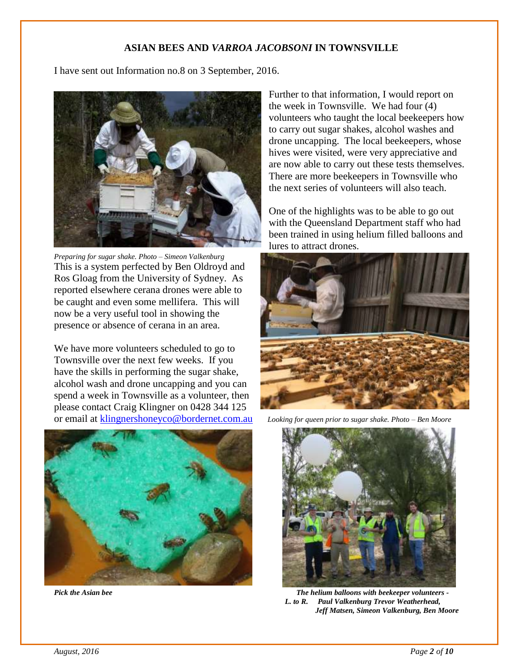#### **ASIAN BEES AND** *VARROA JACOBSONI* **IN TOWNSVILLE**

I have sent out Information no.8 on 3 September, 2016.



*Preparing for sugar shake. Photo – Simeon Valkenburg* This is a system perfected by Ben Oldroyd and Ros Gloag from the University of Sydney. As reported elsewhere cerana drones were able to be caught and even some mellifera. This will now be a very useful tool in showing the presence or absence of cerana in an area.

We have more volunteers scheduled to go to Townsville over the next few weeks. If you have the skills in performing the sugar shake, alcohol wash and drone uncapping and you can spend a week in Townsville as a volunteer, then please contact Craig Klingner on 0428 344 125 or email at [klingnershoneyco@bordernet.com.au](mailto:klingnershoneyco@bordernet.com.au) *Looking for queen prior to sugar shake. Photo – Ben Moore*



Further to that information, I would report on the week in Townsville. We had four (4) volunteers who taught the local beekeepers how to carry out sugar shakes, alcohol washes and drone uncapping. The local beekeepers, whose hives were visited, were very appreciative and are now able to carry out these tests themselves. There are more beekeepers in Townsville who the next series of volunteers will also teach.

One of the highlights was to be able to go out with the Queensland Department staff who had been trained in using helium filled balloons and lures to attract drones.





*Pick the Asian bee The helium balloons with beekeeper volunteers - L. to R. Paul Valkenburg Trevor Weatherhead, Jeff Matsen, Simeon Valkenburg, Ben Moore*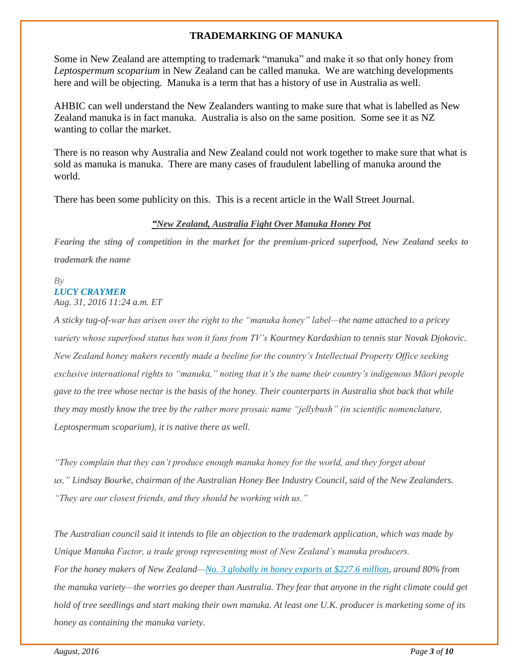#### **TRADEMARKING OF MANUKA**

Some in New Zealand are attempting to trademark "manuka" and make it so that only honey from *Leptospermum scoparium* in New Zealand can be called manuka. We are watching developments here and will be objecting. Manuka is a term that has a history of use in Australia as well.

AHBIC can well understand the New Zealanders wanting to make sure that what is labelled as New Zealand manuka is in fact manuka. Australia is also on the same position. Some see it as NZ wanting to collar the market.

There is no reason why Australia and New Zealand could not work together to make sure that what is sold as manuka is manuka. There are many cases of fraudulent labelling of manuka around the world.

There has been some publicity on this. This is a recent article in the Wall Street Journal.

#### *"New Zealand, Australia Fight Over Manuka Honey Pot*

*Fearing the sting of competition in the market for the premium-priced superfood, New Zealand seeks to trademark the name*

#### *By LUCY CRAYMER*

*Aug. 31, 2016 11:24 a.m. ET*

*A sticky tug-of-war has arisen over the right to the "manuka honey" label—the name attached to a pricey variety whose superfood status has won it fans from TV's Kourtney Kardashian to tennis star Novak Djokovic. New Zealand honey makers recently made a beeline for the country's Intellectual Property Office seeking exclusive international rights to "manuka," noting that it's the name their country's indigenous Māori people gave to the tree whose nectar is the basis of the honey. Their counterparts in Australia shot back that while they may mostly know the tree by the rather more prosaic name "jellybush" (in scientific nomenclature, Leptospermum scoparium), it is native there as well.*

*"They complain that they can't produce enough manuka honey for the world, and they forget about us," Lindsay Bourke, chairman of the Australian Honey Bee Industry Council, said of the New Zealanders. "They are our closest friends, and they should be working with us."*

*The Australian council said it intends to file an objection to the trademark application, which was made by Unique Manuka Factor, a trade group representing most of New Zealand's manuka producers. For the honey makers of New Zealand[—No. 3 globally in honey exports at \\$227.6 million,](http://www.wsj.com/articles/new-zealand-manuka-honey-rules-aim-to-keep-producers-fans-sweet-1406878633) around 80% from the manuka variety—the worries go deeper than Australia. They fear that anyone in the right climate could get hold of tree seedlings and start making their own manuka. At least one U.K. producer is marketing some of its honey as containing the manuka variety.*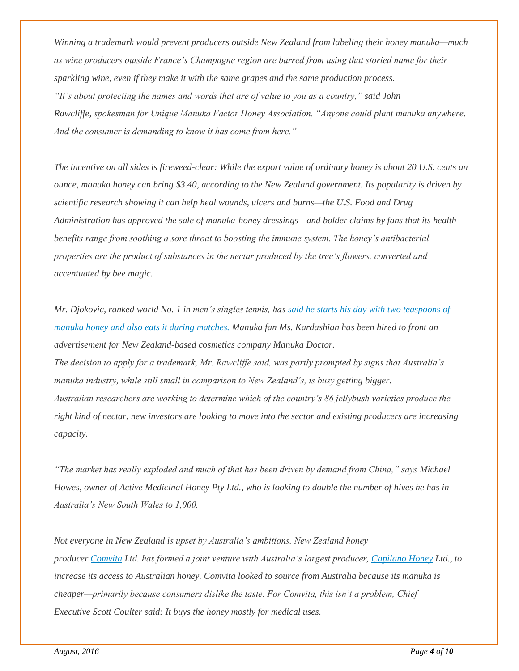*Winning a trademark would prevent producers outside New Zealand from labeling their honey manuka—much as wine producers outside France's Champagne region are barred from using that storied name for their sparkling wine, even if they make it with the same grapes and the same production process. "It's about protecting the names and words that are of value to you as a country," said John Rawcliffe, spokesman for Unique Manuka Factor Honey Association. "Anyone could plant manuka anywhere. And the consumer is demanding to know it has come from here."*

*The incentive on all sides is fireweed-clear: While the export value of ordinary honey is about 20 U.S. cents an ounce, manuka honey can bring \$3.40, according to the New Zealand government. Its popularity is driven by scientific research showing it can help heal wounds, ulcers and burns—the U.S. Food and Drug Administration has approved the sale of manuka-honey dressings—and bolder claims by fans that its health benefits range from soothing a sore throat to boosting the immune system. The honey's antibacterial properties are the product of substances in the nectar produced by the tree's flowers, converted and accentuated by bee magic.*

*Mr. Djokovic, ranked world No. 1 in men's singles tennis, has [said he starts his day with two teaspoons of](http://www.wsj.com/articles/SB10001424127887324354704578638142604610644)  [manuka honey and also eats it during matches.](http://www.wsj.com/articles/SB10001424127887324354704578638142604610644) Manuka fan Ms. Kardashian has been hired to front an advertisement for New Zealand-based cosmetics company Manuka Doctor. The decision to apply for a trademark, Mr. Rawcliffe said, was partly prompted by signs that Australia's manuka industry, while still small in comparison to New Zealand's, is busy getting bigger. Australian researchers are working to determine which of the country's 86 jellybush varieties produce the right kind of nectar, new investors are looking to move into the sector and existing producers are increasing capacity.*

*"The market has really exploded and much of that has been driven by demand from China," says Michael Howes, owner of Active Medicinal Honey Pty Ltd., who is looking to double the number of hives he has in Australia's New South Wales to 1,000.*

*Not everyone in New Zealand is upset by Australia's ambitions. New Zealand honey producer [Comvita](http://quotes.wsj.com/NZ/XNZE/CVT) Ltd. has formed a joint venture with Australia's largest producer, [Capilano Honey](http://quotes.wsj.com/AU/XASX/CZZ) Ltd., to increase its access to Australian honey. Comvita looked to source from Australia because its manuka is cheaper—primarily because consumers dislike the taste. For Comvita, this isn't a problem, Chief Executive Scott Coulter said: It buys the honey mostly for medical uses.*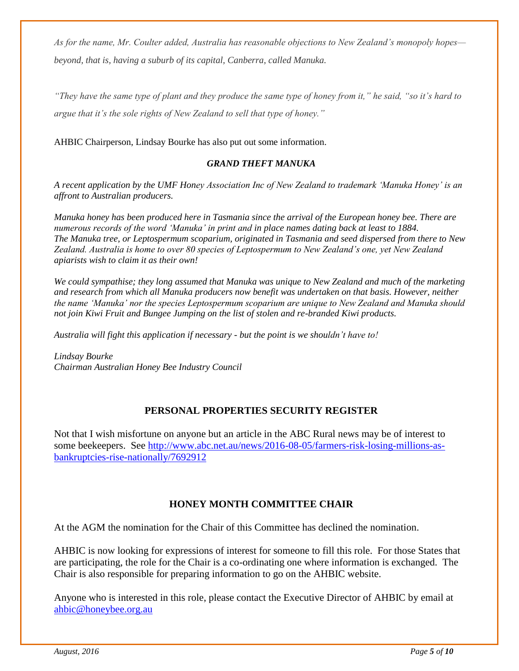*As for the name, Mr. Coulter added, Australia has reasonable objections to New Zealand's monopoly hopes beyond, that is, having a suburb of its capital, Canberra, called Manuka.*

*"They have the same type of plant and they produce the same type of honey from it," he said, "so it's hard to argue that it's the sole rights of New Zealand to sell that type of honey."*

AHBIC Chairperson, Lindsay Bourke has also put out some information.

#### *GRAND THEFT MANUKA*

*A recent application by the UMF Honey Association Inc of New Zealand to trademark 'Manuka Honey' is an affront to Australian producers.*

*Manuka honey has been produced here in Tasmania since the arrival of the European honey bee. There are numerous records of the word 'Manuka' in print and in place names dating back at least to 1884. The Manuka tree, or Leptospermum scoparium, originated in Tasmania and seed dispersed from there to New Zealand. Australia is home to over 80 species of Leptospermum to New Zealand's one, yet New Zealand apiarists wish to claim it as their own!*

*We could sympathise; they long assumed that Manuka was unique to New Zealand and much of the marketing and research from which all Manuka producers now benefit was undertaken on that basis. However, neither the name 'Manuka' nor the species Leptospermum scoparium are unique to New Zealand and Manuka should not join Kiwi Fruit and Bungee Jumping on the list of stolen and re-branded Kiwi products.*

*Australia will fight this application if necessary - but the point is we shouldn't have to!* 

*Lindsay Bourke Chairman Australian Honey Bee Industry Council*

#### **PERSONAL PROPERTIES SECURITY REGISTER**

Not that I wish misfortune on anyone but an article in the ABC Rural news may be of interest to some beekeepers. See [http://www.abc.net.au/news/2016-08-05/farmers-risk-losing-millions-as](http://www.abc.net.au/news/2016-08-05/farmers-risk-losing-millions-as-bankruptcies-rise-nationally/7692912)[bankruptcies-rise-nationally/7692912](http://www.abc.net.au/news/2016-08-05/farmers-risk-losing-millions-as-bankruptcies-rise-nationally/7692912)

#### **HONEY MONTH COMMITTEE CHAIR**

At the AGM the nomination for the Chair of this Committee has declined the nomination.

AHBIC is now looking for expressions of interest for someone to fill this role. For those States that are participating, the role for the Chair is a co-ordinating one where information is exchanged. The Chair is also responsible for preparing information to go on the AHBIC website.

Anyone who is interested in this role, please contact the Executive Director of AHBIC by email at [ahbic@honeybee.org.au](mailto:ahbic@honeybee.org.au)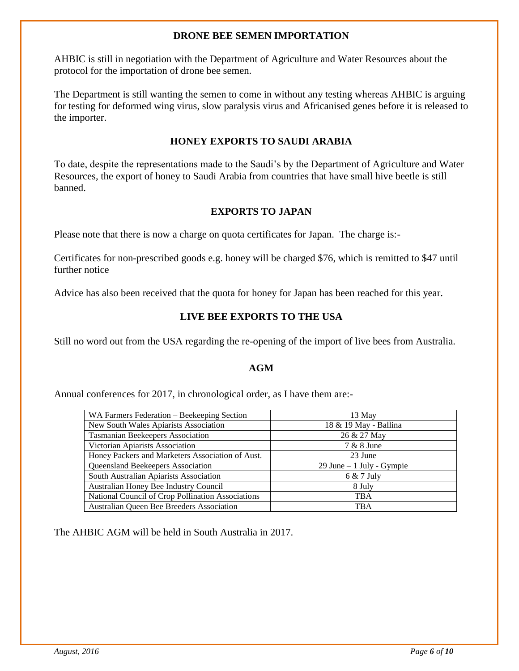#### **DRONE BEE SEMEN IMPORTATION**

AHBIC is still in negotiation with the Department of Agriculture and Water Resources about the protocol for the importation of drone bee semen.

The Department is still wanting the semen to come in without any testing whereas AHBIC is arguing for testing for deformed wing virus, slow paralysis virus and Africanised genes before it is released to the importer.

#### **HONEY EXPORTS TO SAUDI ARABIA**

To date, despite the representations made to the Saudi's by the Department of Agriculture and Water Resources, the export of honey to Saudi Arabia from countries that have small hive beetle is still banned.

#### **EXPORTS TO JAPAN**

Please note that there is now a charge on quota certificates for Japan. The charge is:-

Certificates for non-prescribed goods e.g. honey will be charged \$76, which is remitted to \$47 until further notice

Advice has also been received that the quota for honey for Japan has been reached for this year.

#### **LIVE BEE EXPORTS TO THE USA**

Still no word out from the USA regarding the re-opening of the import of live bees from Australia.

#### **AGM**

Annual conferences for 2017, in chronological order, as I have them are:-

| 13 May                     |
|----------------------------|
| 18 & 19 May - Ballina      |
| 26 & 27 May                |
| 7 & 8 June                 |
| 23 June                    |
| 29 June $-1$ July - Gympie |
| $6 & 7$ July               |
| 8 July                     |
| <b>TBA</b>                 |
| TBA                        |
|                            |

The AHBIC AGM will be held in South Australia in 2017.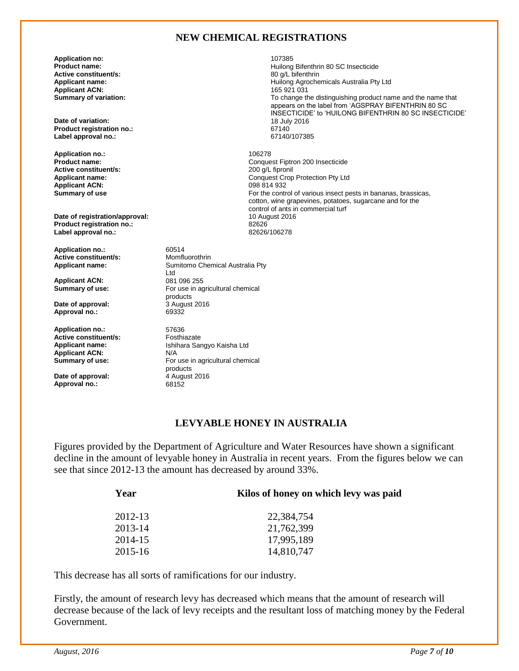#### **NEW CHEMICAL REGISTRATIONS**

Huilong Bifenthrin 80 SC Insecticide<br>80 q/L bifenthrin

For the control of various insect pests in bananas, brassicas, cotton, wine grapevines, potatoes, sugarcane and for the

**Product Fiptron 200 Insecticide 200 g/L fipronil** 

Conquest Crop Protection Pty Ltd<br>098 814 932

control of ants in commercial turf<br>10 August 2016

To change the distinguishing product name and the name that appears on the label from 'AGSPRAY BIFENTHRIN 80 SC INSECTICIDE' to 'HUILONG BIFENTHRIN 80 SC INSECTICIDE'

**Application no:** 107385 **Active constituent/s: Applicant name: Applicant name: Applicant name: Applicant ACN: Applicant ACN: Applicant ACN: Applicant ACN: Applicant ACN: Applicant ACN: Applicant ACN: Applicant ACN: Applicant ACN: Applicant ACN: Applicant ACN:**<br>Summary of variation:

**Date of variation: Product registration no.:** 67140 **Label approval no.:** 

**Application no.:** 106278 **Active constituent/s:**<br>**Applicant name: Applicant ACN:**<br>Summary of use

**Date of registration/approval:** 10 August 2016 **Product registration no.:** 82626 **Label approval no.:** 

**Application no.:** 60514<br> **Active constituent/s:** Momfluorothrin **Active constituent/s:**<br>Applicant name:

Applicant ACN:<br>Summary of use:

**Date of approval: Approval no.:** 69332

**Application no.:** 57636<br> **Active constituent/s:** Fosthiazate **Active constituent/s:**<br>Applicant name: **Applicant ACN:** N/A<br> **Summary of use:** For

**Date of approval:**  $\begin{array}{r} 4 \text{ August } 2016 \\ \text{Approxd no.:} \end{array}$ **Approval no.:** 

Sumitomo Chemical Australia Pty Ltd<br>081 096 255 For use in agricultural chemical products<br>3 August 2016

**Applicant name:** Ishihara Sangyo Kaisha Ltd For use in agricultural chemical products

#### **LEVYABLE HONEY IN AUSTRALIA**

Figures provided by the Department of Agriculture and Water Resources have shown a significant decline in the amount of levyable honey in Australia in recent years. From the figures below we can see that since 2012-13 the amount has decreased by around 33%.

| Kilos of honey on which levy was paid |
|---------------------------------------|
| 22,384,754                            |
| 21,762,399                            |
| 17,995,189                            |
| 14,810,747                            |
|                                       |

This decrease has all sorts of ramifications for our industry.

Firstly, the amount of research levy has decreased which means that the amount of research will decrease because of the lack of levy receipts and the resultant loss of matching money by the Federal Government.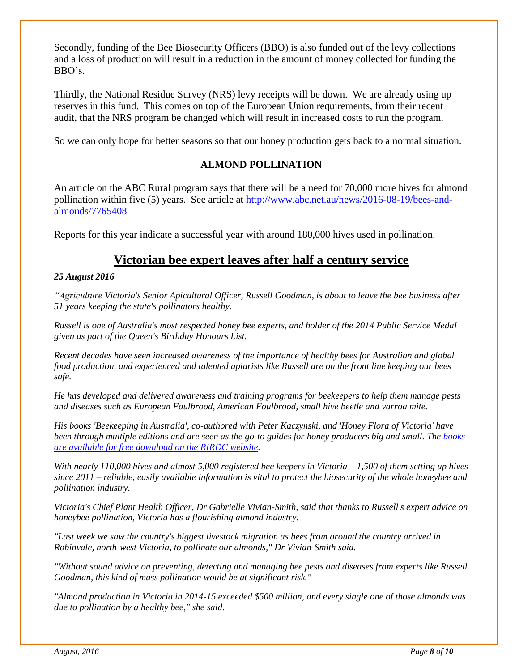Secondly, funding of the Bee Biosecurity Officers (BBO) is also funded out of the levy collections and a loss of production will result in a reduction in the amount of money collected for funding the BBO's.

Thirdly, the National Residue Survey (NRS) levy receipts will be down. We are already using up reserves in this fund. This comes on top of the European Union requirements, from their recent audit, that the NRS program be changed which will result in increased costs to run the program.

So we can only hope for better seasons so that our honey production gets back to a normal situation.

#### **ALMOND POLLINATION**

An article on the ABC Rural program says that there will be a need for 70,000 more hives for almond pollination within five (5) years. See article at [http://www.abc.net.au/news/2016-08-19/bees-and](http://www.abc.net.au/news/2016-08-19/bees-and-almonds/7765408)[almonds/7765408](http://www.abc.net.au/news/2016-08-19/bees-and-almonds/7765408)

Reports for this year indicate a successful year with around 180,000 hives used in pollination.

#### **Victorian bee expert leaves after half a century service**

#### *25 August 2016*

*"Agriculture Victoria's Senior Apicultural Officer, Russell Goodman, is about to leave the bee business after 51 years keeping the state's pollinators healthy.*

*Russell is one of Australia's most respected honey bee experts, and holder of the 2014 Public Service Medal given as part of the Queen's Birthday Honours List.*

*Recent decades have seen increased awareness of the importance of healthy bees for Australian and global food production, and experienced and talented apiarists like Russell are on the front line keeping our bees safe.*

*He has developed and delivered awareness and training programs for beekeepers to help them manage pests and diseases such as European Foulbrood, American Foulbrood, small hive beetle and varroa mite.*

*His books 'Beekeeping in Australia', co-authored with Peter Kaczynski, and 'Honey Flora of Victoria' have been through multiple editions and are seen as the go-to guides for honey producers big and small. The [books](http://www.rirdc.gov.au/)  [are available for free download on the RIRDC website.](http://www.rirdc.gov.au/)*

*With nearly 110,000 hives and almost 5,000 registered bee keepers in Victoria – 1,500 of them setting up hives since 2011 – reliable, easily available information is vital to protect the biosecurity of the whole honeybee and pollination industry.*

*Victoria's Chief Plant Health Officer, Dr Gabrielle Vivian-Smith, said that thanks to Russell's expert advice on honeybee pollination, Victoria has a flourishing almond industry.*

*"Last week we saw the country's biggest livestock migration as bees from around the country arrived in Robinvale, north-west Victoria, to pollinate our almonds," Dr Vivian-Smith said.*

*"Without sound advice on preventing, detecting and managing bee pests and diseases from experts like Russell Goodman, this kind of mass pollination would be at significant risk."*

*"Almond production in Victoria in 2014-15 exceeded \$500 million, and every single one of those almonds was due to pollination by a healthy bee," she said.*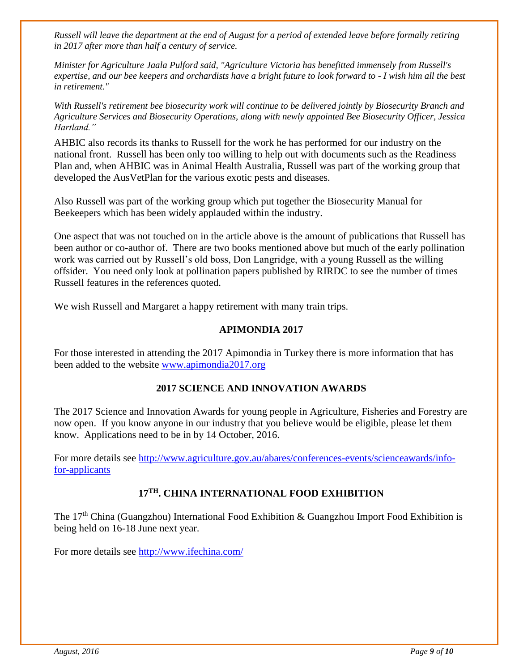*Russell will leave the department at the end of August for a period of extended leave before formally retiring in 2017 after more than half a century of service.*

*Minister for Agriculture Jaala Pulford said, "Agriculture Victoria has benefitted immensely from Russell's expertise, and our bee keepers and orchardists have a bright future to look forward to - I wish him all the best in retirement."*

*With Russell's retirement bee biosecurity work will continue to be delivered jointly by Biosecurity Branch and Agriculture Services and Biosecurity Operations, along with newly appointed Bee Biosecurity Officer, Jessica Hartland."*

AHBIC also records its thanks to Russell for the work he has performed for our industry on the national front. Russell has been only too willing to help out with documents such as the Readiness Plan and, when AHBIC was in Animal Health Australia, Russell was part of the working group that developed the AusVetPlan for the various exotic pests and diseases.

Also Russell was part of the working group which put together the Biosecurity Manual for Beekeepers which has been widely applauded within the industry.

One aspect that was not touched on in the article above is the amount of publications that Russell has been author or co-author of. There are two books mentioned above but much of the early pollination work was carried out by Russell's old boss, Don Langridge, with a young Russell as the willing offsider. You need only look at pollination papers published by RIRDC to see the number of times Russell features in the references quoted.

We wish Russell and Margaret a happy retirement with many train trips.

#### **APIMONDIA 2017**

For those interested in attending the 2017 Apimondia in Turkey there is more information that has been added to the website [www.apimondia2017.org](http://www.apimondia2017.org/)

#### **2017 SCIENCE AND INNOVATION AWARDS**

The 2017 Science and Innovation Awards for young people in Agriculture, Fisheries and Forestry are now open. If you know anyone in our industry that you believe would be eligible, please let them know. Applications need to be in by 14 October, 2016.

For more details see [http://www.agriculture.gov.au/abares/conferences-events/scienceawards/info](http://www.agriculture.gov.au/abares/conferences-events/scienceawards/info-for-applicants)[for-applicants](http://www.agriculture.gov.au/abares/conferences-events/scienceawards/info-for-applicants)

#### **17TH. CHINA INTERNATIONAL FOOD EXHIBITION**

The 17<sup>th</sup> China (Guangzhou) International Food Exhibition & Guangzhou Import Food Exhibition is being held on 16-18 June next year.

For more details see<http://www.ifechina.com/>